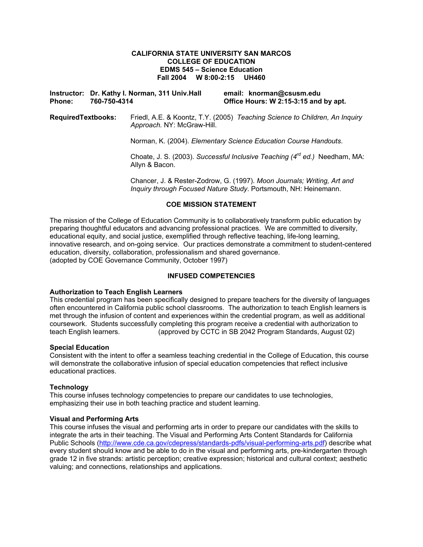### **CALIFORNIA STATE UNIVERSITY SAN MARCOS COLLEGE OF EDUCATION EDMS 545 – Science Education Fall 2004 W 8:00-2:15 UH460**

**Instructor: Dr. Kathy I. Norman, 311 Univ.Hall email: knorman@csusm.edu Phone: 760-750-4314 Office Hours: W 2:15-3:15 and by apt.** 

**RequiredTextbooks:** Friedl, A.E. & Koontz, T.Y. (2005) *Teaching Science to Children, An Inquiry Approach.* NY: McGraw-Hill.

Norman, K. (2004). *Elementary Science Education Course Handouts*.

Choate, J. S. (2003). *Successful Inclusive Teaching (4rd ed.)* Needham, MA: Allyn & Bacon.

Chancer, J. & Rester-Zodrow, G. (1997). *Moon Journals; Writing, Art and Inquiry through Focused Nature Study*. Portsmouth, NH: Heinemann.

### **COE MISSION STATEMENT**

The mission of the College of Education Community is to collaboratively transform public education by preparing thoughtful educators and advancing professional practices. We are committed to diversity, educational equity, and social justice, exemplified through reflective teaching, life-long learning, innovative research, and on-going service. Our practices demonstrate a commitment to student-centered education, diversity, collaboration, professionalism and shared governance. (adopted by COE Governance Community, October 1997)

### **INFUSED COMPETENCIES**

### **Authorization to Teach English Learners**

This credential program has been specifically designed to prepare teachers for the diversity of languages often encountered in California public school classrooms. The authorization to teach English learners is met through the infusion of content and experiences within the credential program, as well as additional coursework. Students successfully completing this program receive a credential with authorization to teach English learners. (approved by CCTC in SB 2042 Program Standards, August 02)

#### **Special Education**

Consistent with the intent to offer a seamless teaching credential in the College of Education, this course will demonstrate the collaborative infusion of special education competencies that reflect inclusive educational practices.

### **Technology**

This course infuses technology competencies to prepare our candidates to use technologies, emphasizing their use in both teaching practice and student learning.

#### **Visual and Performing Arts**

This course infuses the visual and performing arts in order to prepare our candidates with the skills to integrate the arts in their teaching. The Visual and Performing Arts Content Standards for California Public Schools (http://www.cde.ca.gov/cdepress/standards-pdfs/visual-performing-arts.pdf) describe what every student should know and be able to do in the visual and performing arts, pre-kindergarten through grade 12 in five strands: artistic perception; creative expression; historical and cultural context; aesthetic valuing; and connections, relationships and applications.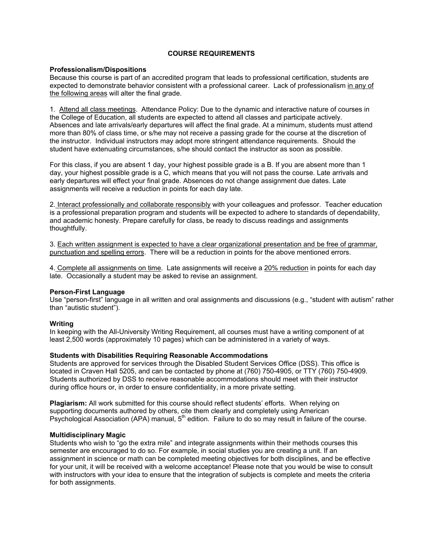## **COURSE REQUIREMENTS**

#### **Professionalism/Dispositions**

Because this course is part of an accredited program that leads to professional certification, students are expected to demonstrate behavior consistent with a professional career. Lack of professionalism in any of the following areas will alter the final grade.

1. Attend all class meetings.Attendance Policy: Due to the dynamic and interactive nature of courses in the College of Education, all students are expected to attend all classes and participate actively. Absences and late arrivals/early departures will affect the final grade. At a minimum, students must attend more than 80% of class time, or s/he may not receive a passing grade for the course at the discretion of the instructor. Individual instructors may adopt more stringent attendance requirements. Should the student have extenuating circumstances, s/he should contact the instructor as soon as possible.

For this class, if you are absent 1 day, your highest possible grade is a B. If you are absent more than 1 day, your highest possible grade is a C, which means that you will not pass the course. Late arrivals and early departures will effect your final grade. Absences do not change assignment due dates. Late assignments will receive a reduction in points for each day late.

2. Interact professionally and collaborate responsibly with your colleagues and professor. Teacher education is a professional preparation program and students will be expected to adhere to standards of dependability, and academic honesty. Prepare carefully for class, be ready to discuss readings and assignments thoughtfully.

3. Each written assignment is expected to have a clear organizational presentation and be free of grammar, punctuation and spelling errors. There will be a reduction in points for the above mentioned errors.

4. Complete all assignments on time. Late assignments will receive a 20% reduction in points for each day late. Occasionally a student may be asked to revise an assignment.

#### **Person-First Language**

Use "person-first" language in all written and oral assignments and discussions (e.g., "student with autism" rather than "autistic student").

#### **Writing**

In keeping with the All-University Writing Requirement, all courses must have a writing component of at least 2,500 words (approximately 10 pages) which can be administered in a variety of ways.

#### **Students with Disabilities Requiring Reasonable Accommodations**

Students are approved for services through the Disabled Student Services Office (DSS). This office is located in Craven Hall 5205, and can be contacted by phone at (760) 750-4905, or TTY (760) 750-4909. Students authorized by DSS to receive reasonable accommodations should meet with their instructor during office hours or, in order to ensure confidentiality, in a more private setting.

**Plagiarism:** All work submitted for this course should reflect students' efforts. When relying on supporting documents authored by others, cite them clearly and completely using American Psychological Association (APA) manual, 5<sup>th</sup> edition. Failure to do so may result in failure of the course.

#### **Multidisciplinary Magic**

Students who wish to "go the extra mile" and integrate assignments within their methods courses this semester are encouraged to do so. For example, in social studies you are creating a unit. If an assignment in science or math can be completed meeting objectives for both disciplines, and be effective for your unit, it will be received with a welcome acceptance! Please note that you would be wise to consult with instructors with your idea to ensure that the integration of subjects is complete and meets the criteria for both assignments.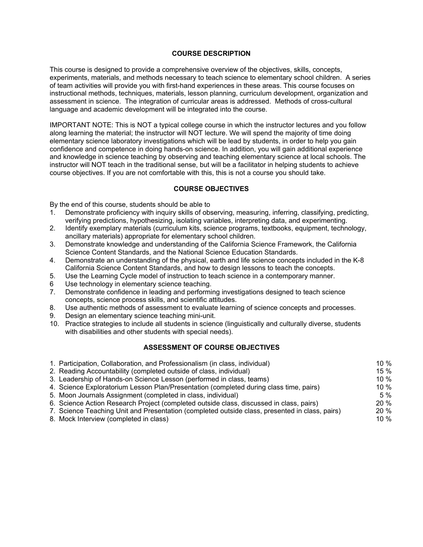## **COURSE DESCRIPTION**

This course is designed to provide a comprehensive overview of the objectives, skills, concepts, experiments, materials, and methods necessary to teach science to elementary school children. A series of team activities will provide you with first-hand experiences in these areas. This course focuses on instructional methods, techniques, materials, lesson planning, curriculum development, organization and assessment in science. The integration of curricular areas is addressed. Methods of cross-cultural language and academic development will be integrated into the course.

IMPORTANT NOTE: This is NOT a typical college course in which the instructor lectures and you follow along learning the material; the instructor will NOT lecture. We will spend the majority of time doing elementary science laboratory investigations which will be lead by students, in order to help you gain confidence and competence in doing hands-on science. In addition, you will gain additional experience and knowledge in science teaching by observing and teaching elementary science at local schools. The instructor will NOT teach in the traditional sense, but will be a facilitator in helping students to achieve course objectives. If you are not comfortable with this, this is not a course you should take.

### **COURSE OBJECTIVES**

By the end of this course, students should be able to

- 1. Demonstrate proficiency with inquiry skills of observing, measuring, inferring, classifying, predicting, verifying predictions, hypothesizing, isolating variables, interpreting data, and experimenting.
- 2. Identify exemplary materials (curriculum kits, science programs, textbooks, equipment, technology, ancillary materials) appropriate for elementary school children.
- 3. Demonstrate knowledge and understanding of the California Science Framework, the California Science Content Standards, and the National Science Education Standards.
- 4. Demonstrate an understanding of the physical, earth and life science concepts included in the K-8 California Science Content Standards, and how to design lessons to teach the concepts.
- 5. Use the Learning Cycle model of instruction to teach science in a contemporary manner.
- 6 Use technology in elementary science teaching.
- 7. Demonstrate confidence in leading and performing investigations designed to teach science concepts, science process skills, and scientific attitudes.
- 8. Use authentic methods of assessment to evaluate learning of science concepts and processes.
- 9. Design an elementary science teaching mini-unit.
- 10. Practice strategies to include all students in science (linguistically and culturally diverse, students with disabilities and other students with special needs).

### **ASSESSMENT OF COURSE OBJECTIVES**

| 1. Participation, Collaboration, and Professionalism (in class, individual)                    | 10 $%$  |
|------------------------------------------------------------------------------------------------|---------|
| 2. Reading Accountability (completed outside of class, individual)                             | $15 \%$ |
| 3. Leadership of Hands-on Science Lesson (performed in class, teams)                           | 10 $%$  |
| 4. Science Exploratorium Lesson Plan/Presentation (completed during class time, pairs)         | 10 $%$  |
| 5. Moon Journals Assignment (completed in class, individual)                                   | 5%      |
| 6. Science Action Research Project (completed outside class, discussed in class, pairs)        | $20\%$  |
| 7. Science Teaching Unit and Presentation (completed outside class, presented in class, pairs) | 20%     |
| 8. Mock Interview (completed in class)                                                         | 10 $%$  |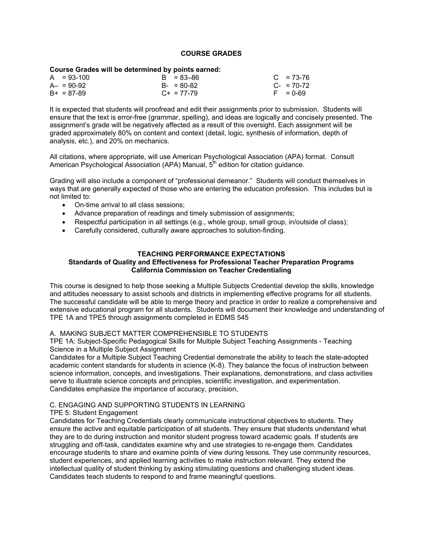### **COURSE GRADES**

### **Course Grades will be determined by points earned:**

| A = 93-100 | $B = 83 - 86$   | $C = 73-76$     |
|------------|-----------------|-----------------|
| A– = 90-92 | $B - 80 - 82$   | $C_{-}$ = 70-72 |
| B+ = 87-89 | $C_{+}$ = 77-79 | $F = 0.69$      |

It is expected that students will proofread and edit their assignments prior to submission. Students will ensure that the text is error-free (grammar, spelling), and ideas are logically and concisely presented. The assignment's grade will be negatively affected as a result of this oversight. Each assignment will be graded approximately 80% on content and context (detail, logic, synthesis of information, depth of analysis, etc.), and 20% on mechanics.

All citations, where appropriate, will use American Psychological Association (APA) format. Consult American Psychological Association (APA) Manual,  $5<sup>th</sup>$  edition for citation guidance.

Grading will also include a component of "professional demeanor." Students will conduct themselves in ways that are generally expected of those who are entering the education profession. This includes but is not limited to:

- On-time arrival to all class sessions;
- Advance preparation of readings and timely submission of assignments;
- Respectful participation in all settings (e.g., whole group, small group, in/outside of class);
- Carefully considered, culturally aware approaches to solution-finding.

### **TEACHING PERFORMANCE EXPECTATIONS**

## **Standards of Quality and Effectiveness for Professional Teacher Preparation Programs California Commission on Teacher Credentialing**

This course is designed to help those seeking a Multiple Subjects Credential develop the skills, knowledge and attitudes necessary to assist schools and districts in implementing effective programs for all students. The successful candidate will be able to merge theory and practice in order to realize a comprehensive and extensive educational program for all students. Students will document their knowledge and understanding of TPE 1A and TPE5 through assignments completed in EDMS 545

### A. MAKING SUBJECT MATTER COMPREHENSIBLE TO STUDENTS

TPE 1A: Subject-Specific Pedagogical Skills for Multiple Subject Teaching Assignments - Teaching Science in a Multiple Subject Assignment

Candidates for a Multiple Subject Teaching Credential demonstrate the ability to teach the state-adopted academic content standards for students in science (K-8). They balance the focus of instruction between science information, concepts, and investigations. Their explanations, demonstrations, and class activities serve to illustrate science concepts and principles, scientific investigation, and experimentation. Candidates emphasize the importance of accuracy, precision,

### C. ENGAGING AND SUPPORTING STUDENTS IN LEARNING

TPE 5: Student Engagement

Candidates for Teaching Credentials clearly communicate instructional objectives to students. They ensure the active and equitable participation of all students. They ensure that students understand what they are to do during instruction and monitor student progress toward academic goals. If students are struggling and off-task, candidates examine why and use strategies to re-engage them. Candidates encourage students to share and examine points of view during lessons. They use community resources, student experiences, and applied learning activities to make instruction relevant. They extend the intellectual quality of student thinking by asking stimulating questions and challenging student ideas. Candidates teach students to respond to and frame meaningful questions.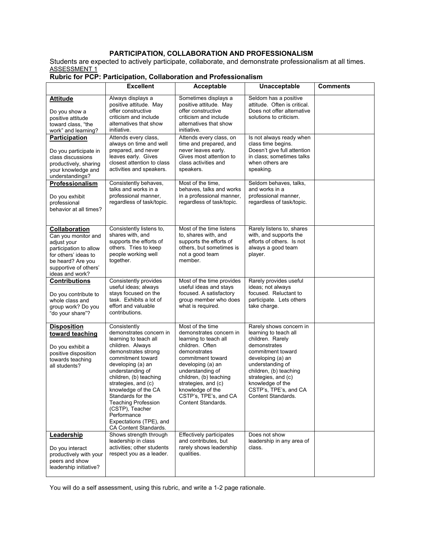## **PARTICIPATION, COLLABORATION AND PROFESSIONALISM**

Students are expected to actively participate, collaborate, and demonstrate professionalism at all times. ASSESSMENT 1

|                                                                                                                                                                               | <b>Excellent</b>                                                                                                                                                                                                                                                                                                                                                                           | Acceptable                                                                                                                                                                                                                                                                                | Unacceptable                                                                                                                                                                                                                                                           | <b>Comments</b> |
|-------------------------------------------------------------------------------------------------------------------------------------------------------------------------------|--------------------------------------------------------------------------------------------------------------------------------------------------------------------------------------------------------------------------------------------------------------------------------------------------------------------------------------------------------------------------------------------|-------------------------------------------------------------------------------------------------------------------------------------------------------------------------------------------------------------------------------------------------------------------------------------------|------------------------------------------------------------------------------------------------------------------------------------------------------------------------------------------------------------------------------------------------------------------------|-----------------|
| <b>Attitude</b><br>Do you show a<br>positive attitude<br>toward class, "the<br>work" and learning?                                                                            | Always displays a<br>positive attitude. May<br>offer constructive<br>criticism and include<br>alternatives that show<br>initiative.                                                                                                                                                                                                                                                        | Sometimes displays a<br>positive attitude. May<br>offer constructive<br>criticism and include<br>alternatives that show<br>initiative.                                                                                                                                                    | Seldom has a positive<br>attitude. Often is critical.<br>Does not offer alternative<br>solutions to criticism.                                                                                                                                                         |                 |
| Participation<br>Do you participate in<br>class discussions<br>productively, sharing<br>your knowledge and<br>understandings?                                                 | Attends every class,<br>always on time and well<br>prepared, and never<br>leaves early. Gives<br>closest attention to class<br>activities and speakers.                                                                                                                                                                                                                                    | Attends every class, on<br>time and prepared, and<br>never leaves early.<br>Gives most attention to<br>class activities and<br>speakers.                                                                                                                                                  | Is not always ready when<br>class time begins.<br>Doesn't give full attention<br>in class; sometimes talks<br>when others are<br>speaking.                                                                                                                             |                 |
| <b>Professionalism</b><br>Do you exhibit<br>professional<br>behavior at all times?                                                                                            | Consistently behaves,<br>talks and works in a<br>professional manner,<br>regardless of task/topic.                                                                                                                                                                                                                                                                                         | Most of the time,<br>behaves, talks and works<br>in a professional manner,<br>regardless of task/topic.                                                                                                                                                                                   | Seldom behaves, talks,<br>and works in a<br>professional manner,<br>regardless of task/topic.                                                                                                                                                                          |                 |
| <b>Collaboration</b><br>Can you monitor and<br>adjust your<br>participation to allow<br>for others' ideas to<br>be heard? Are you<br>supportive of others'<br>ideas and work? | Consistently listens to,<br>shares with, and<br>supports the efforts of<br>others. Tries to keep<br>people working well<br>together.                                                                                                                                                                                                                                                       | Most of the time listens<br>to, shares with, and<br>supports the efforts of<br>others, but sometimes is<br>not a good team<br>member.                                                                                                                                                     | Rarely listens to, shares<br>with, and supports the<br>efforts of others. Is not<br>always a good team<br>player.                                                                                                                                                      |                 |
| <b>Contributions</b><br>Do you contribute to<br>whole class and<br>group work? Do you<br>"do your share"?                                                                     | Consistently provides<br>useful ideas; always<br>stays focused on the<br>task. Exhibits a lot of<br>effort and valuable<br>contributions.                                                                                                                                                                                                                                                  | Most of the time provides<br>useful ideas and stays<br>focused. A satisfactory<br>group member who does<br>what is required.                                                                                                                                                              | Rarely provides useful<br>ideas; not always<br>focused. Reluctant to<br>participate. Lets others<br>take charge.                                                                                                                                                       |                 |
| <b>Disposition</b><br>toward teaching<br>Do you exhibit a<br>positive disposition<br>towards teaching<br>all students?                                                        | Consistently<br>demonstrates concern in<br>learning to teach all<br>children. Always<br>demonstrates strong<br>commitment toward<br>developing (a) an<br>understanding of<br>children, (b) teaching<br>strategies, and (c)<br>knowledge of the CA<br>Standards for the<br><b>Teaching Profession</b><br>(CSTP), Teacher<br>Performance<br>Expectations (TPE), and<br>CA Content Standards. | Most of the time<br>demonstrates concern in<br>learning to teach all<br>children. Often<br>demonstrates<br>commitment toward<br>developing (a) an<br>understanding of<br>children, (b) teaching<br>strategies, and (c)<br>knowledge of the<br>CSTP's, TPE's, and CA<br>Content Standards. | Rarely shows concern in<br>learning to teach all<br>children. Rarely<br>demonstrates<br>commitment toward<br>developing (a) an<br>understanding of<br>children, (b) teaching<br>strategies, and (c)<br>knowledge of the<br>CSTP's, TPE's, and CA<br>Content Standards. |                 |
| Leadership<br>Do you interact<br>productively with your<br>peers and show<br>leadership initiative?                                                                           | Shows strength through<br>leadership in class<br>activities; other students<br>respect you as a leader.                                                                                                                                                                                                                                                                                    | Effectively participates<br>and contributes, but<br>rarely shows leadership<br>qualities.                                                                                                                                                                                                 | Does not show<br>leadership in any area of<br>class.                                                                                                                                                                                                                   |                 |

## **Rubric for PCP: Participation, Collaboration and Professionalism**

You will do a self assessment, using this rubric, and write a 1-2 page rationale.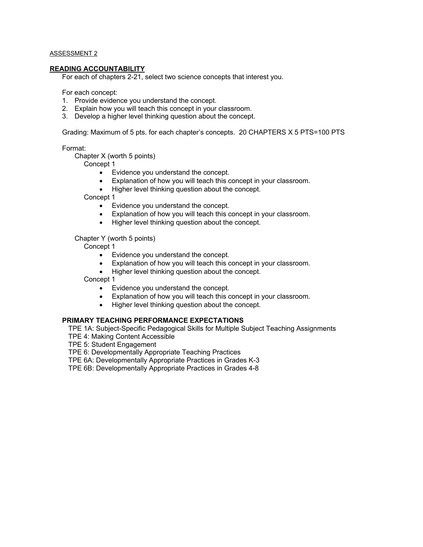### ASSESSMENT 2

#### **READING ACCOUNTABILITY**

For each of chapters 2-21, select two science concepts that interest you.

For each concept:

- 1. Provide evidence you understand the concept.
- 2. Explain how you will teach this concept in your classroom.
- 3. Develop a higher level thinking question about the concept.

Grading: Maximum of 5 pts. for each chapter's concepts. 20 CHAPTERS X 5 PTS=100 PTS

Format:

Chapter X (worth 5 points)

Concept 1

- Evidence you understand the concept.
- Explanation of how you will teach this concept in your classroom.
- Higher level thinking question about the concept.

Concept 1

- Evidence you understand the concept.
- Explanation of how you will teach this concept in your classroom.
- Higher level thinking question about the concept.

Chapter Y (worth 5 points)

Concept 1

- Evidence you understand the concept.
- Explanation of how you will teach this concept in your classroom.
- Higher level thinking question about the concept.

Concept 1

- Evidence you understand the concept.
- Explanation of how you will teach this concept in your classroom.
- Higher level thinking question about the concept.

### **PRIMARY TEACHING PERFORMANCE EXPECTATIONS**

TPE 1A: Subject-Specific Pedagogical Skills for Multiple Subject Teaching Assignments TPE 4: Making Content Accessible

TPE 5: Student Engagement

TPE 6: Developmentally Appropriate Teaching Practices

TPE 6A: Developmentally Appropriate Practices in Grades K-3

TPE 6B: Developmentally Appropriate Practices in Grades 4-8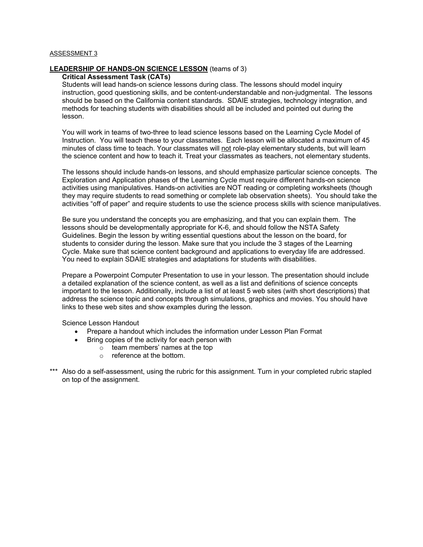### ASSESSMENT 3

### **LEADERSHIP OF HANDS-ON SCIENCE LESSON** (teams of 3)

# **Critical Assessment Task (CATs)**

Students will lead hands-on science lessons during class. The lessons should model inquiry instruction, good questioning skills, and be content-understandable and non-judgmental. The lessons should be based on the California content standards. SDAIE strategies, technology integration, and methods for teaching students with disabilities should all be included and pointed out during the lesson.

You will work in teams of two-three to lead science lessons based on the Learning Cycle Model of Instruction. You will teach these to your classmates. Each lesson will be allocated a maximum of 45 minutes of class time to teach. Your classmates will not role-play elementary students, but will learn the science content and how to teach it. Treat your classmates as teachers, not elementary students.

The lessons should include hands-on lessons, and should emphasize particular science concepts. The Exploration and Application phases of the Learning Cycle must require different hands-on science activities using manipulatives. Hands-on activities are NOT reading or completing worksheets (though they may require students to read something or complete lab observation sheets). You should take the activities "off of paper" and require students to use the science process skills with science manipulatives.

Be sure you understand the concepts you are emphasizing, and that you can explain them. The lessons should be developmentally appropriate for K-6, and should follow the NSTA Safety Guidelines. Begin the lesson by writing essential questions about the lesson on the board, for students to consider during the lesson. Make sure that you include the 3 stages of the Learning Cycle. Make sure that science content background and applications to everyday life are addressed. You need to explain SDAIE strategies and adaptations for students with disabilities.

Prepare a Powerpoint Computer Presentation to use in your lesson. The presentation should include a detailed explanation of the science content, as well as a list and definitions of science concepts important to the lesson. Additionally, include a list of at least 5 web sites (with short descriptions) that address the science topic and concepts through simulations, graphics and movies. You should have links to these web sites and show examples during the lesson.

Science Lesson Handout

- Prepare a handout which includes the information under Lesson Plan Format
- Bring copies of the activity for each person with
	- o team members' names at the top
	- o reference at the bottom.
- \*\*\* Also do a self-assessment, using the rubric for this assignment. Turn in your completed rubric stapled on top of the assignment.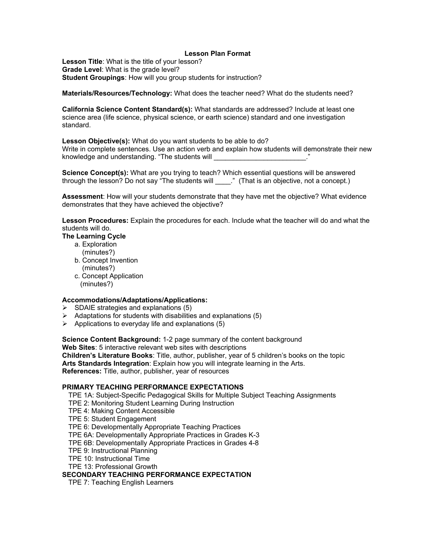### **Lesson Plan Format**

**Lesson Title**: What is the title of your lesson? **Grade Level**: What is the grade level? **Student Groupings**: How will you group students for instruction?

**Materials/Resources/Technology:** What does the teacher need? What do the students need?

**California Science Content Standard(s):** What standards are addressed? Include at least one science area (life science, physical science, or earth science) standard and one investigation standard.

**Lesson Objective(s):** What do you want students to be able to do?

Write in complete sentences. Use an action verb and explain how students will demonstrate their new knowledge and understanding. "The students will

**Science Concept(s):** What are you trying to teach? Which essential questions will be answered through the lesson? Do not say "The students will \_\_\_\_." (That is an objective, not a concept.)

**Assessment**: How will your students demonstrate that they have met the objective? What evidence demonstrates that they have achieved the objective?

**Lesson Procedures:** Explain the procedures for each. Include what the teacher will do and what the students will do.

## **The Learning Cycle**

- a. Exploration
	- (minutes?)
- b. Concept Invention (minutes?)
- c. Concept Application (minutes?)

### **Accommodations/Adaptations/Applications:**

- $\triangleright$  SDAIE strategies and explanations (5)
- $\triangleright$  Adaptations for students with disabilities and explanations (5)
- $\triangleright$  Applications to everyday life and explanations (5)

**Science Content Background:** 1-2 page summary of the content background **Web Sites**: 5 interactive relevant web sites with descriptions **Children's Literature Books**: Title, author, publisher, year of 5 children's books on the topic

**Arts Standards Integration**: Explain how you will integrate learning in the Arts. **References:** Title, author, publisher, year of resources

## **PRIMARY TEACHING PERFORMANCE EXPECTATIONS**

TPE 1A: Subject-Specific Pedagogical Skills for Multiple Subject Teaching Assignments

- TPE 2: Monitoring Student Learning During Instruction
- TPE 4: Making Content Accessible

TPE 5: Student Engagement

TPE 6: Developmentally Appropriate Teaching Practices

TPE 6A: Developmentally Appropriate Practices in Grades K-3

- TPE 6B: Developmentally Appropriate Practices in Grades 4-8
- TPE 9: Instructional Planning
- TPE 10: Instructional Time
- TPE 13: Professional Growth

## **SECONDARY TEACHING PERFORMANCE EXPECTATION**

TPE 7: Teaching English Learners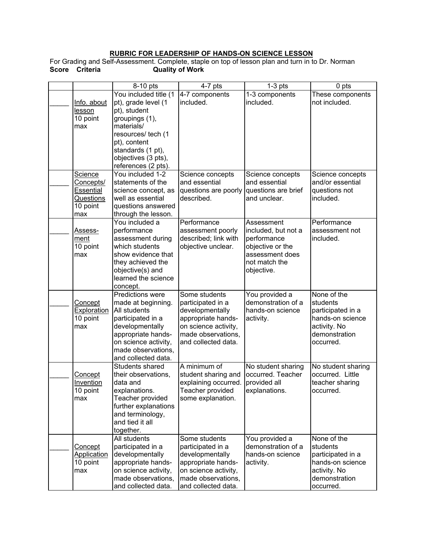### **RUBRIC FOR LEADERSHIP OF HANDS-ON SCIENCE LESSON**

For Grading and Self-Assessment. Complete, staple on top of lesson plan and turn in to Dr. Norman **Score Criteria Quality of Work** 

|                    | 8-10 pts                     | $4-7$ pts            | $\overline{1}$ -3 pts                | 0 pts              |
|--------------------|------------------------------|----------------------|--------------------------------------|--------------------|
|                    | You included title (1        | 4-7 components       | 1-3 components                       | These components   |
| Info. about        | pt), grade level (1          | included.            | included.                            | not included.      |
| lesson             | pt), student                 |                      |                                      |                    |
| 10 point           | groupings (1),               |                      |                                      |                    |
| max                | materials/                   |                      |                                      |                    |
|                    | resources/ tech (1           |                      |                                      |                    |
|                    | pt), content                 |                      |                                      |                    |
|                    | standards (1 pt),            |                      |                                      |                    |
|                    | objectives (3 pts),          |                      |                                      |                    |
|                    | references (2 pts).          |                      |                                      |                    |
| Science            | You included 1-2             | Science concepts     | Science concepts                     | Science concepts   |
| Concepts/          | statements of the            | and essential        | and essential                        | and/or essential   |
| Essential          | science concept, as          | questions are poorly | questions are brief                  | questions not      |
| Questions          | well as essential            | described.           | and unclear.                         | included.          |
| 10 point           | questions answered           |                      |                                      |                    |
| max                | through the lesson.          |                      |                                      |                    |
|                    | You included a               | Performance          | Assessment                           | Performance        |
| Assess-            | performance                  | assessment poorly    | included, but not a                  | assessment not     |
| ment               | assessment during            | described; link with | performance                          | included.          |
| 10 point           | which students               | objective unclear.   | objective or the                     |                    |
| max                | show evidence that           |                      | assessment does                      |                    |
|                    | they achieved the            |                      | not match the                        |                    |
|                    | objective(s) and             |                      | objective.                           |                    |
|                    | learned the science          |                      |                                      |                    |
|                    | concept.<br>Predictions were | Some students        |                                      | None of the        |
| Concept            | made at beginning.           | participated in a    | You provided a<br>demonstration of a | students           |
| <b>Exploration</b> | All students                 | developmentally      | hands-on science                     | participated in a  |
| 10 point           | participated in a            | appropriate hands-   | activity.                            | hands-on science   |
| max                | developmentally              | on science activity, |                                      | activity. No       |
|                    | appropriate hands-           | made observations,   |                                      | demonstration      |
|                    | on science activity,         | and collected data.  |                                      | occurred.          |
|                    | made observations,           |                      |                                      |                    |
|                    | and collected data.          |                      |                                      |                    |
|                    | Students shared              | A minimum of         | No student sharing                   | No student sharing |
| Concept            | their observations,          | student sharing and  | occurred. Teacher                    | occurred. Little   |
| Invention          | data and                     | explaining occurred. | provided all                         | teacher sharing    |
| 10 point           | explanations.                | Teacher provided     | explanations.                        | occurred.          |
| max                | Teacher provided             | some explanation.    |                                      |                    |
|                    | further explanations         |                      |                                      |                    |
|                    | and terminology,             |                      |                                      |                    |
|                    | and tied it all              |                      |                                      |                    |
|                    | together.                    |                      |                                      |                    |
|                    | All students                 | Some students        | You provided a                       | None of the        |
| <u>Concept</u>     | participated in a            | participated in a    | demonstration of a                   | students           |
| <b>Application</b> | developmentally              | developmentally      | hands-on science                     | participated in a  |
| 10 point           | appropriate hands-           | appropriate hands-   | activity.                            | hands-on science   |
| max                | on science activity,         | on science activity, |                                      | activity. No       |
|                    | made observations,           | made observations,   |                                      | demonstration      |
|                    | and collected data.          | and collected data.  |                                      | occurred.          |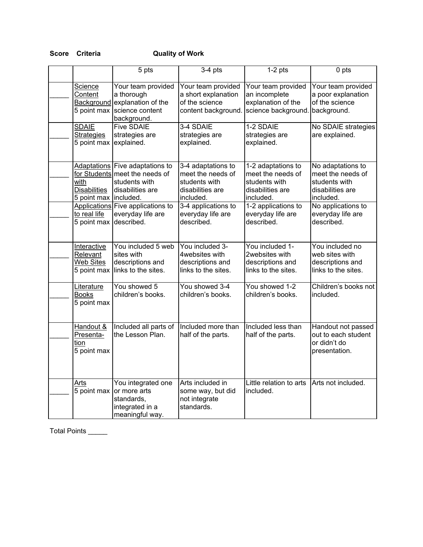# **Score Criteria Quality of Work**

|                                                            | 5 pts                                                                                                  | $3-4$ pts                                                                                 | $1-2$ pts                                                                                 | 0 pts                                                                                    |
|------------------------------------------------------------|--------------------------------------------------------------------------------------------------------|-------------------------------------------------------------------------------------------|-------------------------------------------------------------------------------------------|------------------------------------------------------------------------------------------|
| <b>Science</b><br>Content<br>5 point max                   | Your team provided<br>a thorough<br>Background explanation of the<br>science content<br>background.    | Your team provided<br>a short explanation<br>of the science<br>content background.        | Your team provided<br>an incomplete<br>explanation of the<br>science background.          | Your team provided<br>a poor explanation<br>of the science<br>background.                |
| <b>SDAIE</b><br><b>Strategies</b><br>5 point max           | <b>Five SDAIE</b><br>strategies are<br>explained.                                                      | 3-4 SDAIE<br>strategies are<br>explained.                                                 | 1-2 SDAIE<br>strategies are<br>explained.                                                 | No SDAIE strategies<br>are explained.                                                    |
| with<br><b>Disabilities</b><br>5 point max   included.     | Adaptations Five adaptations to<br>for Students meet the needs of<br>students with<br>disabilities are | 3-4 adaptations to<br>meet the needs of<br>students with<br>disabilities are<br>included. | 1-2 adaptations to<br>meet the needs of<br>students with<br>disabilities are<br>included. | No adaptations to<br>meet the needs of<br>students with<br>disabilities are<br>included. |
| to real life<br>5 point max                                | Applications Five applications to<br>everyday life are<br>described.                                   | 3-4 applications to<br>everyday life are<br>described.                                    | 1-2 applications to<br>everyday life are<br>described.                                    | No applications to<br>everyday life are<br>described.                                    |
| Interactive<br>Relevant<br><b>Web Sites</b><br>5 point max | You included 5 web<br>sites with<br>descriptions and<br>links to the sites.                            | You included 3-<br>4websites with<br>descriptions and<br>links to the sites.              | You included 1-<br>2websites with<br>descriptions and<br>links to the sites.              | You included no<br>web sites with<br>descriptions and<br>links to the sites.             |
| Literature<br><b>Books</b><br>5 point max                  | You showed 5<br>children's books.                                                                      | You showed 3-4<br>children's books.                                                       | You showed 1-2<br>children's books.                                                       | Children's books not<br>included.                                                        |
| Handout &<br>Presenta-<br>tion<br>5 point max              | Included all parts of<br>the Lesson Plan.                                                              | Included more than<br>half of the parts.                                                  | Included less than<br>half of the parts.                                                  | Handout not passed<br>out to each student<br>or didn't do<br>presentation.               |
| Arts<br>5 point max                                        | You integrated one<br>or more arts<br>standards,<br>integrated in a<br>meaningful way.                 | Arts included in<br>some way, but did<br>not integrate<br>standards.                      | Little relation to arts<br>included.                                                      | Arts not included.                                                                       |

Total Points \_\_\_\_\_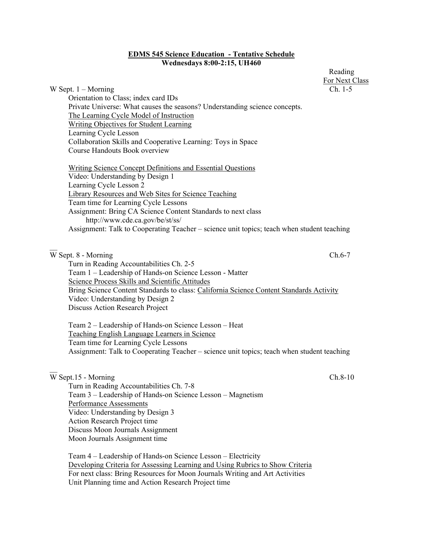### **EDMS 545 Science Education - Tentative Schedule Wednesdays 8:00-2:15, UH460**

For Next Class W Sept. 1 – Morning Ch. 1-5 Orientation to Class; index card IDs Private Universe: What causes the seasons? Understanding science concepts. The Learning Cycle Model of Instruction Writing Objectives for Student Learning Learning Cycle Lesson Collaboration Skills and Cooperative Learning: Toys in Space Course Handouts Book overview Writing Science Concept Definitions and Essential Questions Video: Understanding by Design 1 Learning Cycle Lesson 2 Library Resources and Web Sites for Science Teaching Team time for Learning Cycle Lessons Assignment: Bring CA Science Content Standards to next class http://www.cde.ca.gov/be/st/ss/ Assignment: Talk to Cooperating Teacher – science unit topics; teach when student teaching  $\overline{W}$  Sept. 8 - Morning Ch.6-7 Turn in Reading Accountabilities Ch. 2-5 Team 1 – Leadership of Hands-on Science Lesson - Matter Science Process Skills and Scientific Attitudes Bring Science Content Standards to class: California Science Content Standards Activity Video: Understanding by Design 2 Discuss Action Research Project

 Team 2 – Leadership of Hands-on Science Lesson – Heat Teaching English Language Learners in Science Team time for Learning Cycle Lessons Assignment: Talk to Cooperating Teacher – science unit topics; teach when student teaching

# W Sept.15 - Morning Ch.8-10

 Turn in Reading Accountabilities Ch. 7-8 Team 3 – Leadership of Hands-on Science Lesson – Magnetism Performance Assessments Video: Understanding by Design 3 Action Research Project time Discuss Moon Journals Assignment Moon Journals Assignment time

 Team 4 – Leadership of Hands-on Science Lesson – Electricity Developing Criteria for Assessing Learning and Using Rubrics to Show Criteria For next class: Bring Resources for Moon Journals Writing and Art Activities Unit Planning time and Action Research Project time

Reading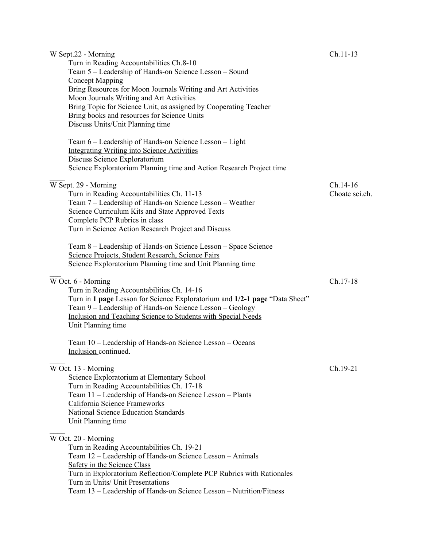| W Sept.22 - Morning<br>Turn in Reading Accountabilities Ch.8-10<br>Team 5 - Leadership of Hands-on Science Lesson - Sound<br><b>Concept Mapping</b><br>Bring Resources for Moon Journals Writing and Art Activities<br>Moon Journals Writing and Art Activities<br>Bring Topic for Science Unit, as assigned by Cooperating Teacher<br>Bring books and resources for Science Units<br>Discuss Units/Unit Planning time<br>Team 6 – Leadership of Hands-on Science Lesson – Light<br><b>Integrating Writing into Science Activities</b><br>Discuss Science Exploratorium<br>Science Exploratorium Planning time and Action Research Project time | $Ch.11-13$                   |
|-------------------------------------------------------------------------------------------------------------------------------------------------------------------------------------------------------------------------------------------------------------------------------------------------------------------------------------------------------------------------------------------------------------------------------------------------------------------------------------------------------------------------------------------------------------------------------------------------------------------------------------------------|------------------------------|
| W Sept. 29 - Morning<br>Turn in Reading Accountabilities Ch. 11-13<br>Team 7 – Leadership of Hands-on Science Lesson – Weather<br>Science Curriculum Kits and State Approved Texts<br>Complete PCP Rubrics in class<br>Turn in Science Action Research Project and Discuss<br>Team 8 – Leadership of Hands-on Science Lesson – Space Science<br>Science Projects, Student Research, Science Fairs                                                                                                                                                                                                                                               | $Ch.14-16$<br>Choate sci.ch. |
| Science Exploratorium Planning time and Unit Planning time<br>W Oct. 6 - Morning<br>Turn in Reading Accountabilities Ch. 14-16<br>Turn in 1 page Lesson for Science Exploratorium and 1/2-1 page "Data Sheet"<br>Team 9 - Leadership of Hands-on Science Lesson - Geology<br>Inclusion and Teaching Science to Students with Special Needs<br>Unit Planning time                                                                                                                                                                                                                                                                                | Ch.17-18                     |
| Team 10 - Leadership of Hands-on Science Lesson - Oceans<br>Inclusion continued.                                                                                                                                                                                                                                                                                                                                                                                                                                                                                                                                                                |                              |
| W Oct. 13 - Morning<br>Science Exploratorium at Elementary School<br>Turn in Reading Accountabilities Ch. 17-18<br>Team 11 – Leadership of Hands-on Science Lesson – Plants<br>California Science Frameworks<br>National Science Education Standards<br>Unit Planning time                                                                                                                                                                                                                                                                                                                                                                      | Ch.19-21                     |
| W Oct. 20 - Morning<br>Turn in Reading Accountabilities Ch. 19-21<br>Team 12 – Leadership of Hands-on Science Lesson – Animals<br>Safety in the Science Class<br>Turn in Exploratorium Reflection/Complete PCP Rubrics with Rationales<br>Turn in Units/ Unit Presentations<br>Team 13 - Leadership of Hands-on Science Lesson - Nutrition/Fitness                                                                                                                                                                                                                                                                                              |                              |